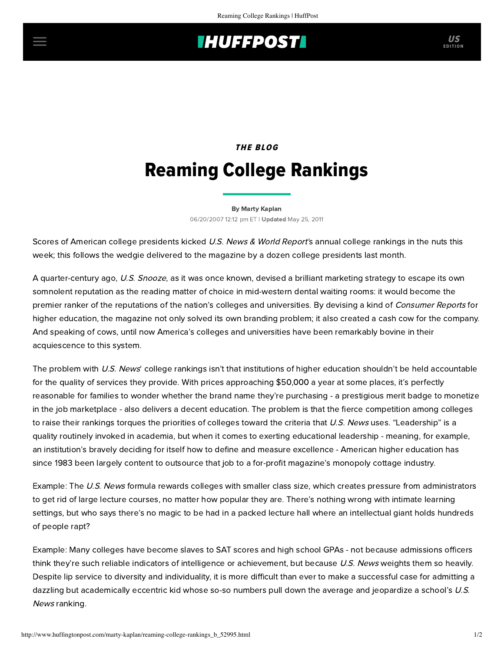## **INUFFPOSTI** US

## THE BLOG Reaming College Rankings

[By Marty Kaplan](http://www.huffingtonpost.com/author/marty-kaplan) 06/20/2007 12:12 pm ET | Updated May 25, 2011

Scores of American college presidents kicked U.S. News & World Report's annual college rankings in the nuts this [week; this follows the wedgie delivered to the magazine by a dozen college presidents last month.](http://www.iht.com/articles/2007/06/20/business/college.php)

A quarter-century ago, U.S. Snooze, as it was once known, devised a brilliant marketing strategy to escape its own somnolent reputation as the reading matter of choice in mid-western dental waiting rooms: it would become the premier ranker of the reputations of the nation's colleges and universities. By devising a kind of Consumer Reports for higher education, the magazine not only solved its own branding problem; it also created a [cash cow](http://chronicle.com/free/v53/i38/38a01501.htm) for the company. And speaking of cows, until now America's colleges and universities have been remarkably bovine in their acquiescence to this system.

The problem with U.S. News' college rankings isn't that institutions of higher education shouldn't be held accountable for the quality of services they provide. With prices approaching \$50,000 a year at some places, it's perfectly reasonable for families to wonder whether the brand name they're purchasing - a prestigious merit badge to monetize in the job marketplace - also delivers a decent education. The problem is that the fierce competition among colleges to raise their rankings torques the priorities of colleges toward [the criteria](http://www.usnews.com/usnews/edu/college/rankings/about/weight_brief.php#scores) that U.S. News uses. "Leadership" is a quality routinely invoked in academia, but when it comes to exerting educational leadership - meaning, for example, an institution's bravely deciding for itself how to define and measure excellence - American higher education has since 1983 been largely content to outsource that job to a for-profit magazine's monopoly cottage industry.

Example: The U.S. News formula rewards colleges with smaller class size, which creates pressure from administrators to get rid of large lecture courses, no matter how popular they are. There's nothing wrong with intimate learning settings, but who says there's no magic to be had in a packed lecture hall where an intellectual giant holds hundreds of people rapt?

Example: Many colleges have become slaves to SAT scores and high school GPAs - not because admissions officers think they're such reliable indicators of intelligence or achievement, but because U.S. News weights them so heavily. Despite lip service to diversity and individuality, it is more difficult than ever to make a successful case for admitting a dazzling but academically eccentric kid whose so-so numbers pull down the average and jeopardize a school's U.S. News ranking.